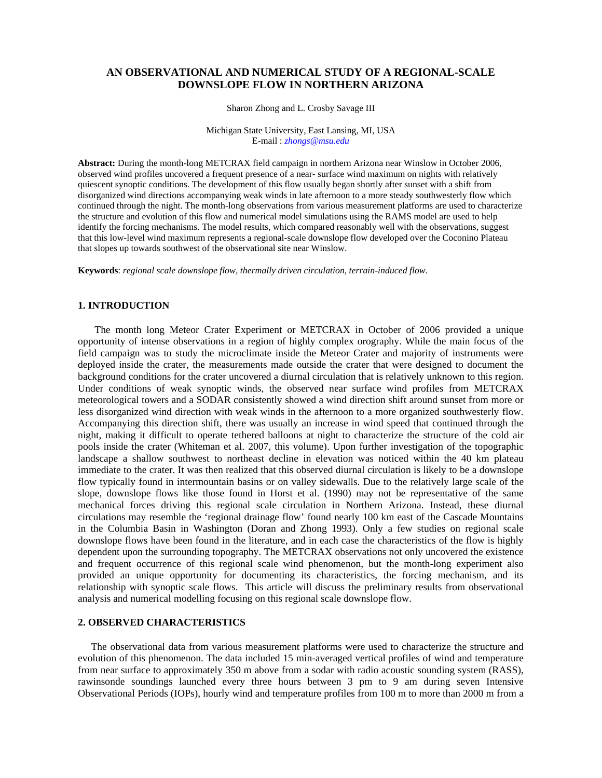# **AN OBSERVATIONAL AND NUMERICAL STUDY OF A REGIONAL-SCALE DOWNSLOPE FLOW IN NORTHERN ARIZONA**

Sharon Zhong and L. Crosby Savage III

Michigan State University, East Lansing, MI, USA E-mail : *zhongs@msu.edu*

**Abstract:** During the month-long METCRAX field campaign in northern Arizona near Winslow in October 2006, observed wind profiles uncovered a frequent presence of a near- surface wind maximum on nights with relatively quiescent synoptic conditions. The development of this flow usually began shortly after sunset with a shift from disorganized wind directions accompanying weak winds in late afternoon to a more steady southwesterly flow which continued through the night. The month-long observations from various measurement platforms are used to characterize the structure and evolution of this flow and numerical model simulations using the RAMS model are used to help identify the forcing mechanisms. The model results, which compared reasonably well with the observations, suggest that this low-level wind maximum represents a regional-scale downslope flow developed over the Coconino Plateau that slopes up towards southwest of the observational site near Winslow.

**Keywords**: *regional scale downslope flow, thermally driven circulation, terrain-induced flow.* 

### **1. INTRODUCTION**

The month long Meteor Crater Experiment or METCRAX in October of 2006 provided a unique opportunity of intense observations in a region of highly complex orography. While the main focus of the field campaign was to study the microclimate inside the Meteor Crater and majority of instruments were deployed inside the crater, the measurements made outside the crater that were designed to document the background conditions for the crater uncovered a diurnal circulation that is relatively unknown to this region. Under conditions of weak synoptic winds, the observed near surface wind profiles from METCRAX meteorological towers and a SODAR consistently showed a wind direction shift around sunset from more or less disorganized wind direction with weak winds in the afternoon to a more organized southwesterly flow. Accompanying this direction shift, there was usually an increase in wind speed that continued through the night, making it difficult to operate tethered balloons at night to characterize the structure of the cold air pools inside the crater (Whiteman et al. 2007, this volume). Upon further investigation of the topographic landscape a shallow southwest to northeast decline in elevation was noticed within the 40 km plateau immediate to the crater. It was then realized that this observed diurnal circulation is likely to be a downslope flow typically found in intermountain basins or on valley sidewalls. Due to the relatively large scale of the slope, downslope flows like those found in Horst et al. (1990) may not be representative of the same mechanical forces driving this regional scale circulation in Northern Arizona. Instead, these diurnal circulations may resemble the 'regional drainage flow' found nearly 100 km east of the Cascade Mountains in the Columbia Basin in Washington (Doran and Zhong 1993). Only a few studies on regional scale downslope flows have been found in the literature, and in each case the characteristics of the flow is highly dependent upon the surrounding topography. The METCRAX observations not only uncovered the existence and frequent occurrence of this regional scale wind phenomenon, but the month-long experiment also provided an unique opportunity for documenting its characteristics, the forcing mechanism, and its relationship with synoptic scale flows. This article will discuss the preliminary results from observational analysis and numerical modelling focusing on this regional scale downslope flow.

## **2. OBSERVED CHARACTERISTICS**

The observational data from various measurement platforms were used to characterize the structure and evolution of this phenomenon. The data included 15 min-averaged vertical profiles of wind and temperature from near surface to approximately 350 m above from a sodar with radio acoustic sounding system (RASS), rawinsonde soundings launched every three hours between 3 pm to 9 am during seven Intensive Observational Periods (IOPs), hourly wind and temperature profiles from 100 m to more than 2000 m from a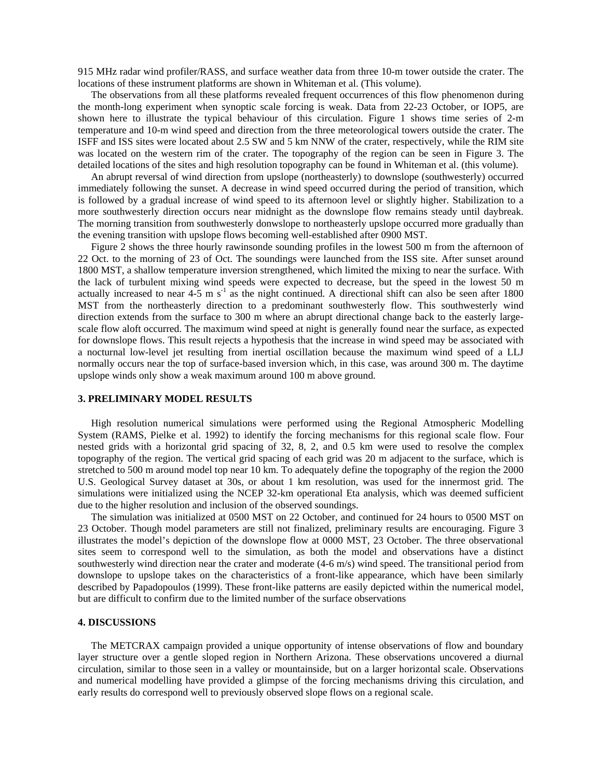915 MHz radar wind profiler/RASS, and surface weather data from three 10-m tower outside the crater. The locations of these instrument platforms are shown in Whiteman et al. (This volume).

The observations from all these platforms revealed frequent occurrences of this flow phenomenon during the month-long experiment when synoptic scale forcing is weak. Data from 22-23 October, or IOP5, are shown here to illustrate the typical behaviour of this circulation. Figure 1 shows time series of 2-m temperature and 10-m wind speed and direction from the three meteorological towers outside the crater. The ISFF and ISS sites were located about 2.5 SW and 5 km NNW of the crater, respectively, while the RIM site was located on the western rim of the crater. The topography of the region can be seen in Figure 3. The detailed locations of the sites and high resolution topography can be found in Whiteman et al. (this volume).

An abrupt reversal of wind direction from upslope (northeasterly) to downslope (southwesterly) occurred immediately following the sunset. A decrease in wind speed occurred during the period of transition, which is followed by a gradual increase of wind speed to its afternoon level or slightly higher. Stabilization to a more southwesterly direction occurs near midnight as the downslope flow remains steady until daybreak. The morning transition from southwesterly donwslope to northeasterly upslope occurred more gradually than the evening transition with upslope flows becoming well-established after 0900 MST.

Figure 2 shows the three hourly rawinsonde sounding profiles in the lowest 500 m from the afternoon of 22 Oct. to the morning of 23 of Oct. The soundings were launched from the ISS site. After sunset around 1800 MST, a shallow temperature inversion strengthened, which limited the mixing to near the surface. With the lack of turbulent mixing wind speeds were expected to decrease, but the speed in the lowest 50 m actually increased to near  $4-5$  m s<sup>-1</sup> as the night continued. A directional shift can also be seen after 1800 MST from the northeasterly direction to a predominant southwesterly flow. This southwesterly wind direction extends from the surface to 300 m where an abrupt directional change back to the easterly largescale flow aloft occurred. The maximum wind speed at night is generally found near the surface, as expected for downslope flows. This result rejects a hypothesis that the increase in wind speed may be associated with a nocturnal low-level jet resulting from inertial oscillation because the maximum wind speed of a LLJ normally occurs near the top of surface-based inversion which, in this case, was around 300 m. The daytime upslope winds only show a weak maximum around 100 m above ground.

#### **3. PRELIMINARY MODEL RESULTS**

High resolution numerical simulations were performed using the Regional Atmospheric Modelling System (RAMS, Pielke et al. 1992) to identify the forcing mechanisms for this regional scale flow. Four nested grids with a horizontal grid spacing of 32, 8, 2, and 0.5 km were used to resolve the complex topography of the region. The vertical grid spacing of each grid was 20 m adjacent to the surface, which is stretched to 500 m around model top near 10 km. To adequately define the topography of the region the 2000 U.S. Geological Survey dataset at 30s, or about 1 km resolution, was used for the innermost grid. The simulations were initialized using the NCEP 32-km operational Eta analysis, which was deemed sufficient due to the higher resolution and inclusion of the observed soundings.

The simulation was initialized at 0500 MST on 22 October, and continued for 24 hours to 0500 MST on 23 October. Though model parameters are still not finalized, preliminary results are encouraging. Figure 3 illustrates the model's depiction of the downslope flow at 0000 MST, 23 October. The three observational sites seem to correspond well to the simulation, as both the model and observations have a distinct southwesterly wind direction near the crater and moderate (4-6 m/s) wind speed. The transitional period from downslope to upslope takes on the characteristics of a front-like appearance, which have been similarly described by Papadopoulos (1999). These front-like patterns are easily depicted within the numerical model, but are difficult to confirm due to the limited number of the surface observations

#### **4. DISCUSSIONS**

The METCRAX campaign provided a unique opportunity of intense observations of flow and boundary layer structure over a gentle sloped region in Northern Arizona. These observations uncovered a diurnal circulation, similar to those seen in a valley or mountainside, but on a larger horizontal scale. Observations and numerical modelling have provided a glimpse of the forcing mechanisms driving this circulation, and early results do correspond well to previously observed slope flows on a regional scale.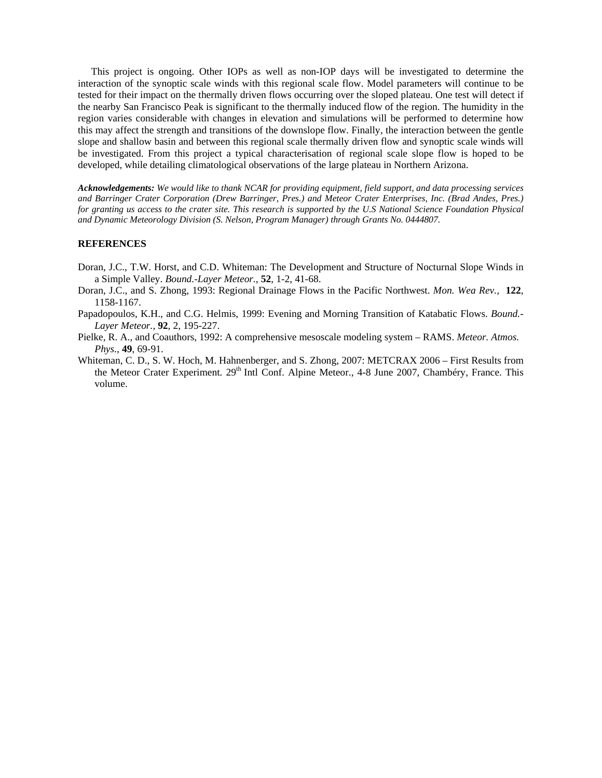This project is ongoing. Other IOPs as well as non-IOP days will be investigated to determine the interaction of the synoptic scale winds with this regional scale flow. Model parameters will continue to be tested for their impact on the thermally driven flows occurring over the sloped plateau. One test will detect if the nearby San Francisco Peak is significant to the thermally induced flow of the region. The humidity in the region varies considerable with changes in elevation and simulations will be performed to determine how this may affect the strength and transitions of the downslope flow. Finally, the interaction between the gentle slope and shallow basin and between this regional scale thermally driven flow and synoptic scale winds will be investigated. From this project a typical characterisation of regional scale slope flow is hoped to be developed, while detailing climatological observations of the large plateau in Northern Arizona.

*Acknowledgements: We would like to thank NCAR for providing equipment, field support, and data processing services and Barringer Crater Corporation (Drew Barringer, Pres.) and Meteor Crater Enterprises, Inc. (Brad Andes, Pres.) for granting us access to the crater site. This research is supported by the U.S National Science Foundation Physical and Dynamic Meteorology Division (S. Nelson, Program Manager) through Grants No. 0444807.* 

## **REFERENCES**

- Doran, J.C., T.W. Horst, and C.D. Whiteman: The Development and Structure of Nocturnal Slope Winds in a Simple Valley. *Bound.-Layer Meteor.*, **52**, 1-2, 41-68.
- Doran, J.C., and S. Zhong, 1993: Regional Drainage Flows in the Pacific Northwest. *Mon. Wea Rev.,* **122**, 1158-1167.
- Papadopoulos, K.H., and C.G. Helmis, 1999: Evening and Morning Transition of Katabatic Flows. *Bound.- Layer Meteor.,* **92**, 2, 195-227.
- Pielke, R. A., and Coauthors, 1992: A comprehensive mesoscale modeling system RAMS. *Meteor. Atmos. Phys*., **49**, 69-91.
- Whiteman, C. D., S. W. Hoch, M. Hahnenberger, and S. Zhong, 2007: METCRAX 2006 First Results from the Meteor Crater Experiment. 29<sup>th</sup> Intl Conf. Alpine Meteor., 4-8 June 2007, Chambéry, France. This volume.